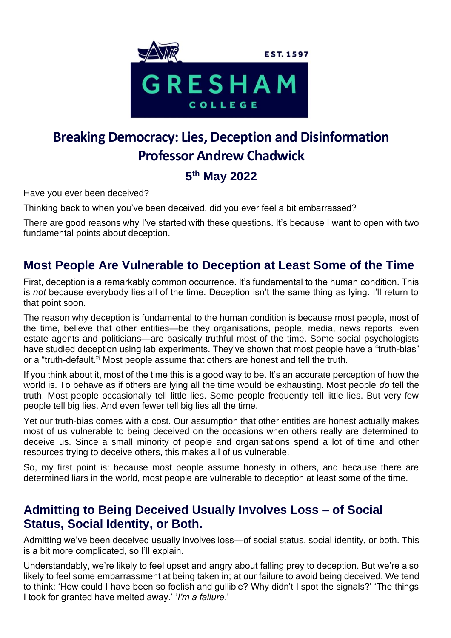

# **Breaking Democracy: Lies, Deception and Disinformation Professor Andrew Chadwick**

# **5 th May 2022**

Have you ever been deceived?

Thinking back to when you've been deceived, did you ever feel a bit embarrassed?

There are good reasons why I've started with these questions. It's because I want to open with two fundamental points about deception.

### **Most People Are Vulnerable to Deception at Least Some of the Time**

First, deception is a remarkably common occurrence. It's fundamental to the human condition. This is *not* because everybody lies all of the time. Deception isn't the same thing as lying. I'll return to that point soon.

The reason why deception is fundamental to the human condition is because most people, most of the time, believe that other entities—be they organisations, people, media, news reports, even estate agents and politicians—are basically truthful most of the time. Some social psychologists have studied deception using lab experiments. They've shown that most people have a "truth-bias" or a "truth-default."<sup>i</sup> Most people assume that others are honest and tell the truth.

If you think about it, most of the time this is a good way to be. It's an accurate perception of how the world is. To behave as if others are lying all the time would be exhausting. Most people *do* tell the truth. Most people occasionally tell little lies. Some people frequently tell little lies. But very few people tell big lies. And even fewer tell big lies all the time.

Yet our truth-bias comes with a cost. Our assumption that other entities are honest actually makes most of us vulnerable to being deceived on the occasions when others really are determined to deceive us. Since a small minority of people and organisations spend a lot of time and other resources trying to deceive others, this makes all of us vulnerable.

So, my first point is: because most people assume honesty in others, and because there are determined liars in the world, most people are vulnerable to deception at least some of the time.

### **Admitting to Being Deceived Usually Involves Loss – of Social Status, Social Identity, or Both.**

Admitting we've been deceived usually involves loss—of social status, social identity, or both. This is a bit more complicated, so I'll explain.

Understandably, we're likely to feel upset and angry about falling prey to deception. But we're also likely to feel some embarrassment at being taken in; at our failure to avoid being deceived. We tend to think: 'How could I have been so foolish and gullible? Why didn't I spot the signals?' 'The things I took for granted have melted away.' '*I'm a failure*.'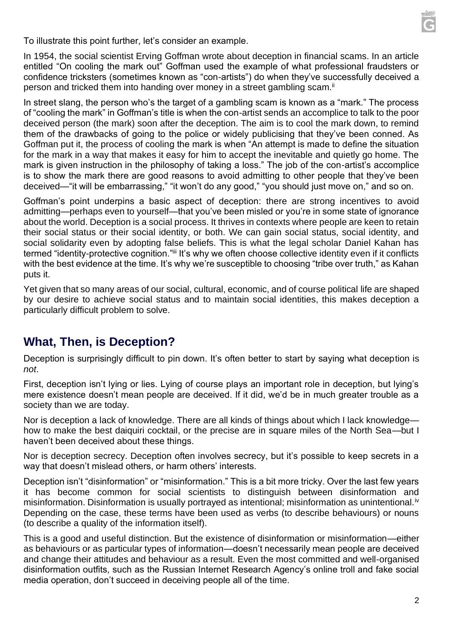

To illustrate this point further, let's consider an example.

In 1954, the social scientist Erving Goffman wrote about deception in financial scams. In an article entitled "On cooling the mark out" Goffman used the example of what professional fraudsters or confidence tricksters (sometimes known as "con-artists") do when they've successfully deceived a person and tricked them into handing over money in a street gambling scam.<sup>ii</sup>

In street slang, the person who's the target of a gambling scam is known as a "mark." The process of "cooling the mark" in Goffman's title is when the con-artist sends an accomplice to talk to the poor deceived person (the mark) soon after the deception. The aim is to cool the mark down, to remind them of the drawbacks of going to the police or widely publicising that they've been conned. As Goffman put it, the process of cooling the mark is when "An attempt is made to define the situation for the mark in a way that makes it easy for him to accept the inevitable and quietly go home. The mark is given instruction in the philosophy of taking a loss." The job of the con-artist's accomplice is to show the mark there are good reasons to avoid admitting to other people that they've been deceived—"it will be embarrassing," "it won't do any good," "you should just move on," and so on.

Goffman's point underpins a basic aspect of deception: there are strong incentives to avoid admitting—perhaps even to yourself—that you've been misled or you're in some state of ignorance about the world. Deception is a social process. It thrives in contexts where people are keen to retain their social status or their social identity, or both. We can gain social status, social identity, and social solidarity even by adopting false beliefs. This is what the legal scholar Daniel Kahan has termed "identity-protective cognition."iii It's why we often choose collective identity even if it conflicts with the best evidence at the time. It's why we're susceptible to choosing "tribe over truth," as Kahan puts it.

Yet given that so many areas of our social, cultural, economic, and of course political life are shaped by our desire to achieve social status and to maintain social identities, this makes deception a particularly difficult problem to solve.

### **What, Then, is Deception?**

Deception is surprisingly difficult to pin down. It's often better to start by saying what deception is *not*.

First, deception isn't lying or lies. Lying of course plays an important role in deception, but lying's mere existence doesn't mean people are deceived. If it did, we'd be in much greater trouble as a society than we are today.

Nor is deception a lack of knowledge. There are all kinds of things about which I lack knowledge how to make the best daiquiri cocktail, or the precise are in square miles of the North Sea—but I haven't been deceived about these things.

Nor is deception secrecy. Deception often involves secrecy, but it's possible to keep secrets in a way that doesn't mislead others, or harm others' interests.

Deception isn't "disinformation" or "misinformation." This is a bit more tricky. Over the last few years it has become common for social scientists to distinguish between disinformation and misinformation. Disinformation is usually portrayed as intentional; misinformation as unintentional.<sup>iv</sup> Depending on the case, these terms have been used as verbs (to describe behaviours) or nouns (to describe a quality of the information itself).

This is a good and useful distinction. But the existence of disinformation or misinformation—either as behaviours or as particular types of information—doesn't necessarily mean people are deceived and change their attitudes and behaviour as a result. Even the most committed and well-organised disinformation outfits, such as the Russian Internet Research Agency's online troll and fake social media operation, don't succeed in deceiving people all of the time.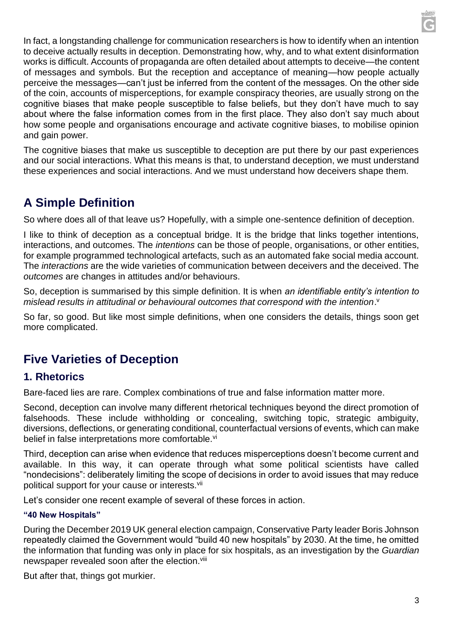In fact, a longstanding challenge for communication researchers is how to identify when an intention to deceive actually results in deception. Demonstrating how, why, and to what extent disinformation works is difficult. Accounts of propaganda are often detailed about attempts to deceive—the content of messages and symbols. But the reception and acceptance of meaning—how people actually perceive the messages—can't just be inferred from the content of the messages. On the other side of the coin, accounts of misperceptions, for example conspiracy theories, are usually strong on the cognitive biases that make people susceptible to false beliefs, but they don't have much to say about where the false information comes from in the first place. They also don't say much about how some people and organisations encourage and activate cognitive biases, to mobilise opinion and gain power.

The cognitive biases that make us susceptible to deception are put there by our past experiences and our social interactions. What this means is that, to understand deception, we must understand these experiences and social interactions. And we must understand how deceivers shape them.

# **A Simple Definition**

So where does all of that leave us? Hopefully, with a simple one-sentence definition of deception.

I like to think of deception as a conceptual bridge. It is the bridge that links together intentions, interactions, and outcomes. The *intentions* can be those of people, organisations, or other entities, for example programmed technological artefacts, such as an automated fake social media account. The *interactions* are the wide varieties of communication between deceivers and the deceived. The *outcomes* are changes in attitudes and/or behaviours.

So, deception is summarised by this simple definition. It is when *an identifiable entity's intention to*  mislead results in attitudinal or behavioural outcomes that correspond with the intention.<sup>v</sup>

So far, so good. But like most simple definitions, when one considers the details, things soon get more complicated.

# **Five Varieties of Deception**

#### **1. Rhetorics**

Bare-faced lies are rare. Complex combinations of true and false information matter more.

Second, deception can involve many different rhetorical techniques beyond the direct promotion of falsehoods. These include withholding or concealing, switching topic, strategic ambiguity, diversions, deflections, or generating conditional, counterfactual versions of events, which can make belief in false interpretations more comfortable.<sup>vi</sup>

Third, deception can arise when evidence that reduces misperceptions doesn't become current and available. In this way, it can operate through what some political scientists have called "nondecisions": deliberately limiting the scope of decisions in order to avoid issues that may reduce political support for your cause or interests.<sup>vii</sup>

Let's consider one recent example of several of these forces in action.

#### **"40 New Hospitals"**

During the December 2019 UK general election campaign, Conservative Party leader Boris Johnson repeatedly claimed the Government would "build 40 new hospitals" by 2030. At the time, he omitted the information that funding was only in place for six hospitals, as an investigation by the *Guardian* newspaper revealed soon after the election.<sup>viii</sup>

But after that, things got murkier.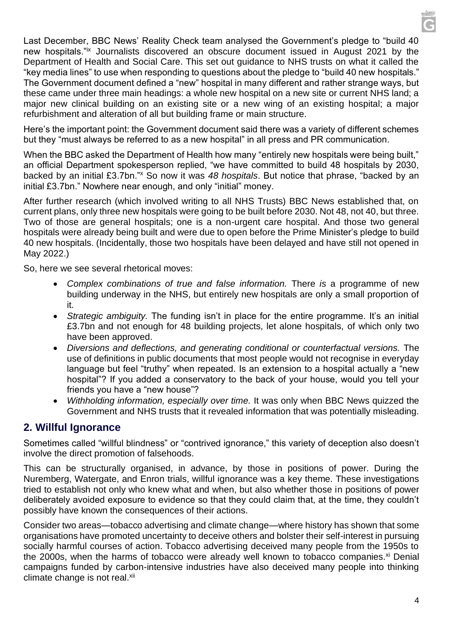Last December, BBC News' Reality Check team analysed the Government's pledge to "build 40 new hospitals."ix Journalists discovered an obscure document issued in August 2021 by the Department of Health and Social Care. This set out guidance to NHS trusts on what it called the "key media lines" to use when responding to questions about the pledge to "build 40 new hospitals." The Government document defined a "new" hospital in many different and rather strange ways, but these came under three main headings: a whole new hospital on a new site or current NHS land; a major new clinical building on an existing site or a new wing of an existing hospital; a major refurbishment and alteration of all but building frame or main structure.

Here's the important point: the Government document said there was a variety of different schemes but they "must always be referred to as a new hospital" in all press and PR communication.

When the BBC asked the Department of Health how many "entirely new hospitals were being built," an official Department spokesperson replied, "we have committed to build 48 hospitals by 2030, backed by an initial £3.7bn."<sup>x</sup> So now it was *48 hospitals*. But notice that phrase, "backed by an initial £3.7bn." Nowhere near enough, and only "initial" money.

After further research (which involved writing to all NHS Trusts) BBC News established that, on current plans, only three new hospitals were going to be built before 2030. Not 48, not 40, but three. Two of those are general hospitals; one is a non-urgent care hospital. And those two general hospitals were already being built and were due to open before the Prime Minister's pledge to build 40 new hospitals. (Incidentally, those two hospitals have been delayed and have still not opened in May 2022.)

So, here we see several rhetorical moves:

- *Complex combinations of true and false information.* There *is* a programme of new building underway in the NHS, but entirely new hospitals are only a small proportion of it.
- *Strategic ambiguity.* The funding isn't in place for the entire programme. It's an initial £3.7bn and not enough for 48 building projects, let alone hospitals, of which only two have been approved.
- *Diversions and deflections, and generating conditional or counterfactual versions.* The use of definitions in public documents that most people would not recognise in everyday language but feel "truthy" when repeated. Is an extension to a hospital actually a "new hospital"? If you added a conservatory to the back of your house, would you tell your friends you have a "new house"?
- *Withholding information, especially over time.* It was only when BBC News quizzed the Government and NHS trusts that it revealed information that was potentially misleading.

#### **2. Willful Ignorance**

Sometimes called "willful blindness" or "contrived ignorance," this variety of deception also doesn't involve the direct promotion of falsehoods.

This can be structurally organised, in advance, by those in positions of power. During the Nuremberg, Watergate, and Enron trials, willful ignorance was a key theme. These investigations tried to establish not only who knew what and when, but also whether those in positions of power deliberately avoided exposure to evidence so that they could claim that, at the time, they couldn't possibly have known the consequences of their actions.

Consider two areas—tobacco advertising and climate change—where history has shown that some organisations have promoted uncertainty to deceive others and bolster their self-interest in pursuing socially harmful courses of action. Tobacco advertising deceived many people from the 1950s to the 2000s, when the harms of tobacco were already well known to tobacco companies.<sup>xi</sup> Denial campaigns funded by carbon-intensive industries have also deceived many people into thinking climate change is not real.<sup>xii</sup>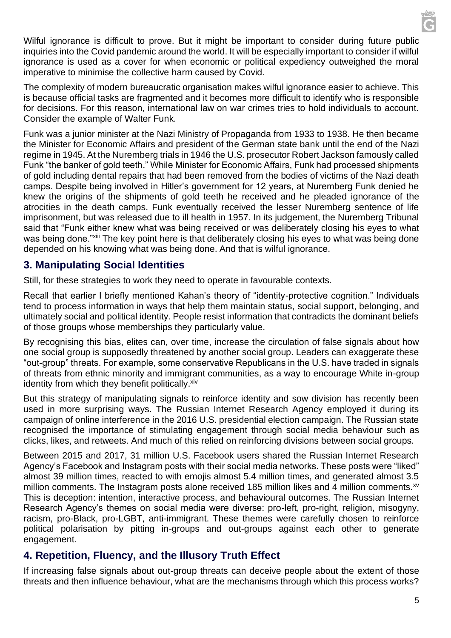Wilful ignorance is difficult to prove. But it might be important to consider during future public inquiries into the Covid pandemic around the world. It will be especially important to consider if wilful ignorance is used as a cover for when economic or political expediency outweighed the moral imperative to minimise the collective harm caused by Covid.

The complexity of modern bureaucratic organisation makes wilful ignorance easier to achieve. This is because official tasks are fragmented and it becomes more difficult to identify who is responsible for decisions. For this reason, international law on war crimes tries to hold individuals to account. Consider the example of Walter Funk.

Funk was a junior minister at the Nazi Ministry of Propaganda from 1933 to 1938. He then became the Minister for Economic Affairs and president of the German state bank until the end of the Nazi regime in 1945. At the Nuremberg trials in 1946 the U.S. prosecutor Robert Jackson famously called Funk "the banker of gold teeth." While Minister for Economic Affairs, Funk had processed shipments of gold including dental repairs that had been removed from the bodies of victims of the Nazi death camps. Despite being involved in Hitler's government for 12 years, at Nuremberg Funk denied he knew the origins of the shipments of gold teeth he received and he pleaded ignorance of the atrocities in the death camps. Funk eventually received the lesser Nuremberg sentence of life imprisonment, but was released due to ill health in 1957. In its judgement, the Nuremberg Tribunal said that "Funk either knew what was being received or was deliberately closing his eyes to what was being done."<sup>xiii</sup> The key point here is that deliberately closing his eyes to what was being done depended on his knowing what was being done. And that is wilful ignorance.

#### **3. Manipulating Social Identities**

Still, for these strategies to work they need to operate in favourable contexts.

Recall that earlier I briefly mentioned Kahan's theory of "identity-protective cognition." Individuals tend to process information in ways that help them maintain status, social support, belonging, and ultimately social and political identity. People resist information that contradicts the dominant beliefs of those groups whose memberships they particularly value.

By recognising this bias, elites can, over time, increase the circulation of false signals about how one social group is supposedly threatened by another social group. Leaders can exaggerate these "out-group" threats. For example, some conservative Republicans in the U.S. have traded in signals of threats from ethnic minority and immigrant communities, as a way to encourage White in-group identity from which they benefit politically. Xiv

But this strategy of manipulating signals to reinforce identity and sow division has recently been used in more surprising ways. The Russian Internet Research Agency employed it during its campaign of online interference in the 2016 U.S. presidential election campaign. The Russian state recognised the importance of stimulating engagement through social media behaviour such as clicks, likes, and retweets. And much of this relied on reinforcing divisions between social groups.

Between 2015 and 2017, 31 million U.S. Facebook users shared the Russian Internet Research Agency's Facebook and Instagram posts with their social media networks. These posts were "liked" almost 39 million times, reacted to with emojis almost 5.4 million times, and generated almost 3.5 million comments. The Instagram posts alone received 185 million likes and 4 million comments.<sup>xv</sup> This is deception: intention, interactive process, and behavioural outcomes. The Russian Internet Research Agency's themes on social media were diverse: pro-left, pro-right, religion, misogyny, racism, pro-Black, pro-LGBT, anti-immigrant. These themes were carefully chosen to reinforce political polarisation by pitting in-groups and out-groups against each other to generate engagement.

#### **4. Repetition, Fluency, and the Illusory Truth Effect**

If increasing false signals about out-group threats can deceive people about the extent of those threats and then influence behaviour, what are the mechanisms through which this process works?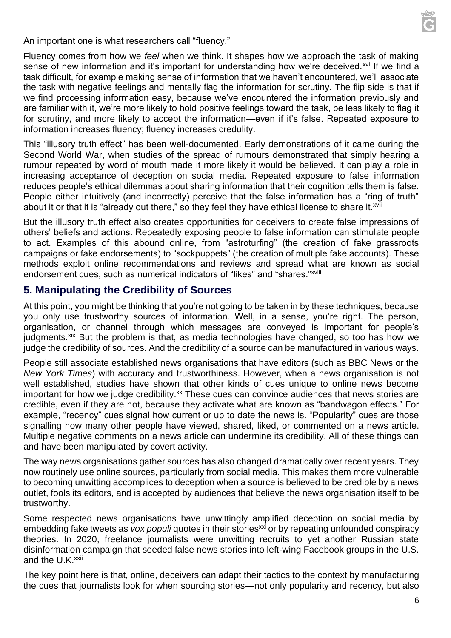

An important one is what researchers call "fluency."

Fluency comes from how we *feel* when we think. It shapes how we approach the task of making sense of new information and it's important for understanding how we're deceived.<sup>xvi</sup> If we find a task difficult, for example making sense of information that we haven't encountered, we'll associate the task with negative feelings and mentally flag the information for scrutiny. The flip side is that if we find processing information easy, because we've encountered the information previously and are familiar with it, we're more likely to hold positive feelings toward the task, be less likely to flag it for scrutiny, and more likely to accept the information—even if it's false. Repeated exposure to information increases fluency; fluency increases credulity.

This "illusory truth effect" has been well-documented. Early demonstrations of it came during the Second World War, when studies of the spread of rumours demonstrated that simply hearing a rumour repeated by word of mouth made it more likely it would be believed. It can play a role in increasing acceptance of deception on social media. Repeated exposure to false information reduces people's ethical dilemmas about sharing information that their cognition tells them is false. People either intuitively (and incorrectly) perceive that the false information has a "ring of truth" about it or that it is "already out there," so they feel they have ethical license to share it.<sup>xvii</sup>

But the illusory truth effect also creates opportunities for deceivers to create false impressions of others' beliefs and actions. Repeatedly exposing people to false information can stimulate people to act. Examples of this abound online, from "astroturfing" (the creation of fake grassroots campaigns or fake endorsements) to "sockpuppets" (the creation of multiple fake accounts). These methods exploit online recommendations and reviews and spread what are known as social endorsement cues, such as numerical indicators of "likes" and "shares."<sup>xviii</sup>

#### **5. Manipulating the Credibility of Sources**

At this point, you might be thinking that you're not going to be taken in by these techniques, because you only use trustworthy sources of information. Well, in a sense, you're right. The person, organisation, or channel through which messages are conveyed is important for people's judgments.<sup>xix</sup> But the problem is that, as media technologies have changed, so too has how we judge the credibility of sources. And the credibility of a source can be manufactured in various ways.

People still associate established news organisations that have editors (such as BBC News or the *New York Times*) with accuracy and trustworthiness. However, when a news organisation is not well established, studies have shown that other kinds of cues unique to online news become important for how we judge credibility. $x^2$  These cues can convince audiences that news stories are credible, even if they are not, because they activate what are known as "bandwagon effects." For example, "recency" cues signal how current or up to date the news is. "Popularity" cues are those signalling how many other people have viewed, shared, liked, or commented on a news article. Multiple negative comments on a news article can undermine its credibility. All of these things can and have been manipulated by covert activity.

The way news organisations gather sources has also changed dramatically over recent years. They now routinely use online sources, particularly from social media. This makes them more vulnerable to becoming unwitting accomplices to deception when a source is believed to be credible by a news outlet, fools its editors, and is accepted by audiences that believe the news organisation itself to be trustworthy.

Some respected news organisations have unwittingly amplified deception on social media by embedding fake tweets as *vox populi* quotes in their stories<sup>xxi</sup> or by repeating unfounded conspiracy theories. In 2020, freelance journalists were unwitting recruits to yet another Russian state disinformation campaign that seeded false news stories into left-wing Facebook groups in the U.S. and the U.K.<sup>xxii</sup>

The key point here is that, online, deceivers can adapt their tactics to the context by manufacturing the cues that journalists look for when sourcing stories—not only popularity and recency, but also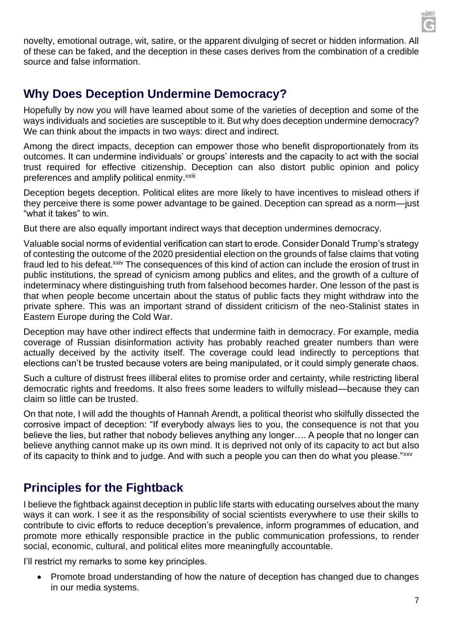

novelty, emotional outrage, wit, satire, or the apparent divulging of secret or hidden information. All of these can be faked, and the deception in these cases derives from the combination of a credible source and false information.

## **Why Does Deception Undermine Democracy?**

Hopefully by now you will have learned about some of the varieties of deception and some of the ways individuals and societies are susceptible to it. But why does deception undermine democracy? We can think about the impacts in two ways: direct and indirect.

Among the direct impacts, deception can empower those who benefit disproportionately from its outcomes. It can undermine individuals' or groups' interests and the capacity to act with the social trust required for effective citizenship. Deception can also distort public opinion and policy preferences and amplify political enmity.<sup>xxiii</sup>

Deception begets deception. Political elites are more likely to have incentives to mislead others if they perceive there is some power advantage to be gained. Deception can spread as a norm—just "what it takes" to win.

But there are also equally important indirect ways that deception undermines democracy.

Valuable social norms of evidential verification can start to erode. Consider Donald Trump's strategy of contesting the outcome of the 2020 presidential election on the grounds of false claims that voting fraud led to his defeat.<sup>xxiv</sup> The consequences of this kind of action can include the erosion of trust in public institutions, the spread of cynicism among publics and elites, and the growth of a culture of indeterminacy where distinguishing truth from falsehood becomes harder. One lesson of the past is that when people become uncertain about the status of public facts they might withdraw into the private sphere. This was an important strand of dissident criticism of the neo-Stalinist states in Eastern Europe during the Cold War.

Deception may have other indirect effects that undermine faith in democracy. For example, media coverage of Russian disinformation activity has probably reached greater numbers than were actually deceived by the activity itself. The coverage could lead indirectly to perceptions that elections can't be trusted because voters are being manipulated, or it could simply generate chaos.

Such a culture of distrust frees illiberal elites to promise order and certainty, while restricting liberal democratic rights and freedoms. It also frees some leaders to wilfully mislead—because they can claim so little can be trusted.

On that note, I will add the thoughts of Hannah Arendt, a political theorist who skilfully dissected the corrosive impact of deception: "If everybody always lies to you, the consequence is not that you believe the lies, but rather that nobody believes anything any longer…. A people that no longer can believe anything cannot make up its own mind. It is deprived not only of its capacity to act but also of its capacity to think and to judge. And with such a people you can then do what you please."xxv

# **Principles for the Fightback**

I believe the fightback against deception in public life starts with educating ourselves about the many ways it can work. I see it as the responsibility of social scientists everywhere to use their skills to contribute to civic efforts to reduce deception's prevalence, inform programmes of education, and promote more ethically responsible practice in the public communication professions, to render social, economic, cultural, and political elites more meaningfully accountable.

I'll restrict my remarks to some key principles.

• Promote broad understanding of how the nature of deception has changed due to changes in our media systems.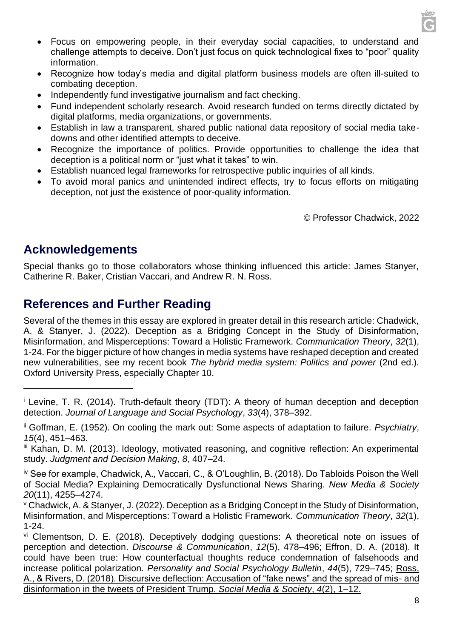- Focus on empowering people, in their everyday social capacities, to understand and challenge attempts to deceive. Don't just focus on quick technological fixes to "poor" quality information.
- Recognize how today's media and digital platform business models are often ill-suited to combating deception.
- Independently fund investigative journalism and fact checking.
- Fund independent scholarly research. Avoid research funded on terms directly dictated by digital platforms, media organizations, or governments.
- Establish in law a transparent, shared public national data repository of social media takedowns and other identified attempts to deceive.
- Recognize the importance of politics. Provide opportunities to challenge the idea that deception is a political norm or "just what it takes" to win.
- Establish nuanced legal frameworks for retrospective public inquiries of all kinds.
- To avoid moral panics and unintended indirect effects, try to focus efforts on mitigating deception, not just the existence of poor-quality information.

© Professor Chadwick, 2022

### **Acknowledgements**

Special thanks go to those collaborators whose thinking influenced this article: James Stanyer, Catherine R. Baker, Cristian Vaccari, and Andrew R. N. Ross.

### **References and Further Reading**

Several of the themes in this essay are explored in greater detail in this research article: Chadwick, A. & Stanyer, J. (2022). Deception as a Bridging Concept in the Study of Disinformation, Misinformation, and Misperceptions: Toward a Holistic Framework. *Communication Theory*, *32*(1), 1-24. For the bigger picture of how changes in media systems have reshaped deception and created new vulnerabilities, see my recent book *The hybrid media system: Politics and power* (2nd ed.). Oxford University Press, especially Chapter 10.

<sup>&</sup>lt;sup>i</sup> Levine, T. R. (2014). Truth-default theory (TDT): A theory of human deception and deception detection. *Journal of Language and Social Psychology*, *33*(4), 378–392.

ii Goffman, E. (1952). On cooling the mark out: Some aspects of adaptation to failure. *Psychiatry*, *15*(4), 451–463.

iii Kahan, D. M. (2013). Ideology, motivated reasoning, and cognitive reflection: An experimental study. *Judgment and Decision Making*, *8*, 407–24.

iv See for example, Chadwick, A., Vaccari, C., & O'Loughlin, B. (2018). Do Tabloids Poison the Well of Social Media? Explaining Democratically Dysfunctional News Sharing. *New Media & Society 20*(11), 4255–4274.

<sup>v</sup> Chadwick, A. & Stanyer, J. (2022). Deception as a Bridging Concept in the Study of Disinformation, Misinformation, and Misperceptions: Toward a Holistic Framework. *Communication Theory*, *32*(1), 1-24.

vi Clementson, D. E. (2018). Deceptively dodging questions: A theoretical note on issues of perception and detection. *Discourse & Communication*, *12*(5), 478–496; Effron, D. A. (2018). It could have been true: How counterfactual thoughts reduce condemnation of falsehoods and increase political polarization. *Personality and Social Psychology Bulletin*, *44*(5), 729–745; Ross, A., & Rivers, D. (2018). Discursive deflection: Accusation of "fake news" and the spread of mis- and disinformation in the tweets of President Trump. *Social Media & Society*, *4*(2), 1–12.